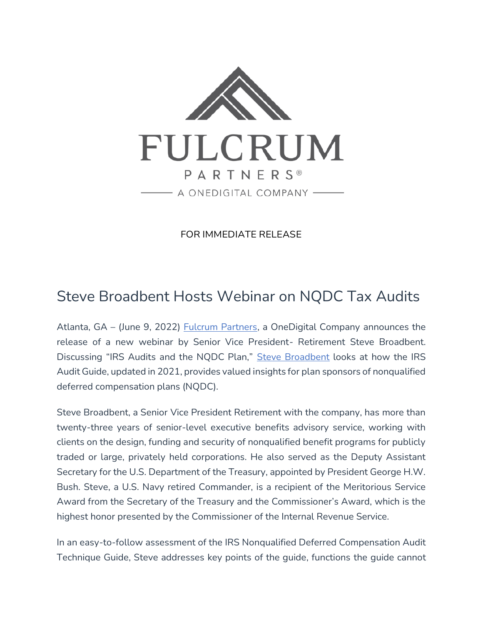

FOR IMMEDIATE RELEASE

## Steve Broadbent Hosts Webinar on NQDC Tax Audits

Atlanta, GA – (June 9, 2022) [Fulcrum Partners,](https://fulcrumpartnersllc.com/) a OneDigital Company announces the release of a new webinar by Senior Vice President- Retirement Steve Broadbent. Discussing "IRS Audits and the NQDC Plan," [Steve Broadbent](https://fulcrumpartnersllc.com/team/steve-broadbent/) looks at how the IRS Audit Guide, updated in 2021, provides valued insights for plan sponsors of nonqualified deferred compensation plans (NQDC).

Steve Broadbent, a Senior Vice President Retirement with the company, has more than twenty-three years of senior-level executive benefits advisory service, working with clients on the design, funding and security of nonqualified benefit programs for publicly traded or large, privately held corporations. He also served as the Deputy Assistant Secretary for the U.S. Department of the Treasury, appointed by President George H.W. Bush. Steve, a U.S. Navy retired Commander, is a recipient of the Meritorious Service Award from the Secretary of the Treasury and the Commissioner's Award, which is the highest honor presented by the Commissioner of the Internal Revenue Service.

In an easy-to-follow assessment of the IRS Nonqualified Deferred Compensation Audit Technique Guide, Steve addresses key points of the guide, functions the guide cannot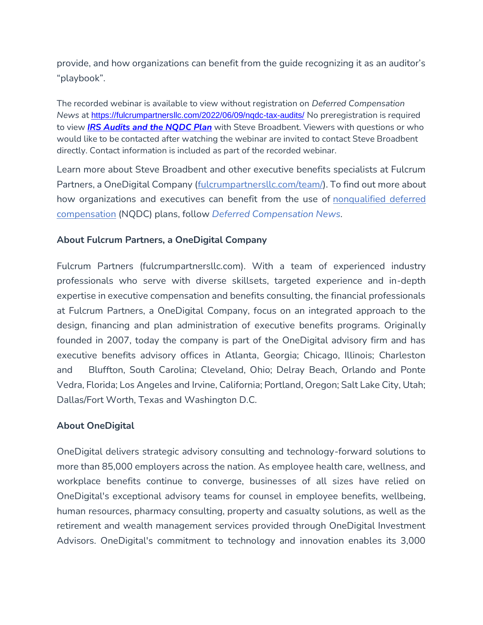provide, and how organizations can benefit from the guide recognizing it as an auditor's "playbook".

The recorded webinar is available to view without registration on *Deferred Compensation News* at <https://fulcrumpartnersllc.com/2022/06/09/nqdc-tax-audits/> No preregistration is required to view *[IRS Audits and the NQDC Plan](https://fulcrumpartnersllc.com/2022/06/07/nqdc-tax-audits/)* with Steve Broadbent. Viewers with questions or who would like to be contacted after watching the webinar are invited to contact Steve Broadbent directly. Contact information is included as part of the recorded webinar.

Learn more about Steve Broadbent and other executive benefits specialists at Fulcrum Partners, a OneDigital Company [\(fulcrumpartnersllc.com/team/\)](https://fulcrumpartnersllc.com/team). To find out more about how organizations and executives can benefit from the use of nonqualified deferred [compensation](https://fulcrumpartnersllc.com/409a-nonqualified-deferred-compensation/) (NQDC) plans, follow *[Deferred Compensation News.](https://www.fulcrumpartnersllc.com/news/)*

## **About Fulcrum Partners, a OneDigital Company**

Fulcrum Partners (fulcrumpartnersllc.com). With a team of experienced industry professionals who serve with diverse skillsets, targeted experience and in-depth expertise in executive compensation and benefits consulting, the financial professionals at Fulcrum Partners, a OneDigital Company, focus on an integrated approach to the design, financing and plan administration of executive benefits programs. Originally founded in 2007, today the company is part of the OneDigital advisory firm and has executive benefits advisory offices in Atlanta, Georgia; Chicago, Illinois; Charleston and Bluffton, South Carolina; Cleveland, Ohio; Delray Beach, Orlando and Ponte Vedra, Florida; Los Angeles and Irvine, California; Portland, Oregon; Salt Lake City, Utah; Dallas/Fort Worth, Texas and Washington D.C.

## **About OneDigital**

OneDigital delivers strategic advisory consulting and technology-forward solutions to more than 85,000 employers across the nation. As employee health care, wellness, and workplace benefits continue to converge, businesses of all sizes have relied on OneDigital's exceptional advisory teams for counsel in employee benefits, wellbeing, human resources, pharmacy consulting, property and casualty solutions, as well as the retirement and wealth management services provided through OneDigital Investment Advisors. OneDigital's commitment to technology and innovation enables its 3,000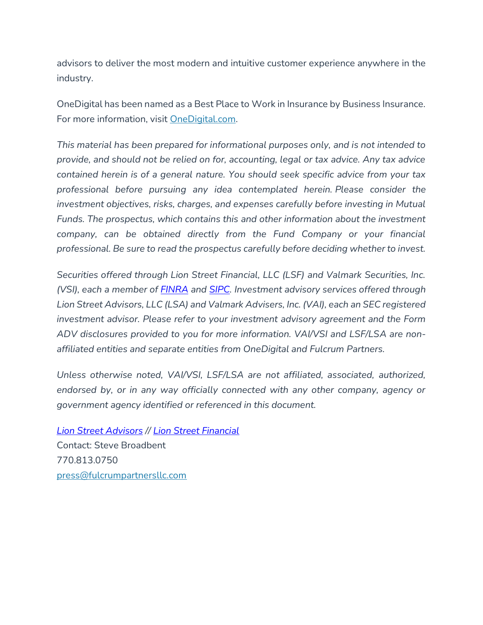advisors to deliver the most modern and intuitive customer experience anywhere in the industry.

OneDigital has been named as a Best Place to Work in Insurance by Business Insurance. For more information, visit [OneDigital.com.](https://www.onedigital.com/)

*This material has been prepared for informational purposes only, and is not intended to provide, and should not be relied on for, accounting, legal or tax advice. Any tax advice contained herein is of a general nature. You should seek specific advice from your tax professional before pursuing any idea contemplated herein. Please consider the investment objectives, risks, charges, and expenses carefully before investing in Mutual Funds. The prospectus, which contains this and other information about the investment company, can be obtained directly from the Fund Company or your financial professional. Be sure to read the prospectus carefully before deciding whether to invest.*

*Securities offered through Lion Street Financial, LLC (LSF) and Valmark Securities, Inc. (VSI), each a member of [FINRA](http://www.finra.org/) and [SIPC.](https://www.sipc.org/) Investment advisory services offered through Lion Street Advisors, LLC (LSA) and Valmark Advisers, Inc. (VAI), each an SEC registered investment advisor. Please refer to your investment advisory agreement and the Form ADV disclosures provided to you for more information. VAI/VSI and LSF/LSA are nonaffiliated entities and separate entities from OneDigital and Fulcrum Partners.*

*Unless otherwise noted, VAI/VSI, LSF/LSA are not affiliated, associated, authorized, endorsed by, or in any way officially connected with any other company, agency or government agency identified or referenced in this document.*

*[Lion Street Advisors](https://lionstreet.com/wp-content/uploads/2021/05/Lion-Street-Advisors-Form-CRS-2020-10-30.pdf) // [Lion Street Financial](https://lionstreet.com/wp-content/uploads/2021/05/Lion-Street-Financial-Form-CRS.pdf)* Contact: Steve Broadbent 770.813.0750 [press@fulcrumpartnersllc.com](mailto:press@fulcrumpartnersllc.com)